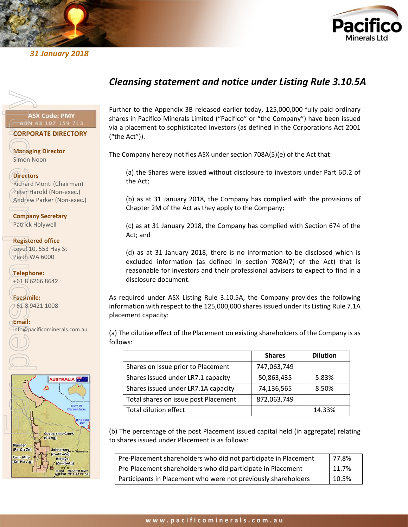



# *31 January 2018*

# *Cleansing statement and notice under Listing Rule 3.10.5A*

**CORPORATE DIRECTORY**

**Managing Director** Simon Noon

### **Directors**

Richard Monti (Chairman) Peter Harold (Non-exec.) Andrew Parker (Non-exec.)

**Company Secretary** Patrick Holywell

**Registered office** Level 10, 553 Hay St Perth WA 6000

**Telephone:** +61 8 6266 8642

**Facsimile:** +61 8 9421 1008

**Email:**



Further to the Appendix 3B released earlier today, 125,000,000 fully paid ordinary shares in Pacifico Minerals Limited ("Pacifico" or "the Company") have been issued via a placement to sophisticated investors (as defined in the Corporations Act 2001 ("the Act")).

The Company hereby notifies ASX under section 708A(5)(e) of the Act that:

(a) the Shares were issued without disclosure to investors under Part 6D.2 of the Act;

(b) as at 31 January 2018, the Company has complied with the provisions of Chapter 2M of the Act as they apply to the Company;

(c) as at 31 January 2018, the Company has complied with Section 674 of the Act; and

(d) as at 31 January 2018, there is no information to be disclosed which is excluded information (as defined in section 708A(7) of the Act) that is reasonable for investors and their professional advisers to expect to find in a disclosure document.

As required under ASX Listing Rule 3.10.5A, the Company provides the following information with respect to the 125,000,000 shares issued under its Listing Rule 7.1A placement capacity:

(a) The dilutive effect of the Placement on existing shareholders of the Company is as follows:

|                                      | <b>Shares</b> | <b>Dilution</b> |
|--------------------------------------|---------------|-----------------|
| Shares on issue prior to Placement   | 747,063,749   |                 |
| Shares issued under LR7.1 capacity   | 50,863,435    | 5.83%           |
| Shares issued under LR7.1A capacity  | 74,136,565    | 8.50%           |
| Total shares on issue post Placement | 872,063,749   |                 |
| Total dilution effect                |               | 14.33%          |

(b) The percentage of the post Placement issued capital held (in aggregate) relating to shares issued under Placement is as follows:

| Pre-Placement shareholders who did not participate in Placement | l 77.8% |
|-----------------------------------------------------------------|---------|
| Pre-Placement shareholders who did participate in Placement     | 11.7%   |
| Participants in Placement who were not previously shareholders  | 10.5%   |